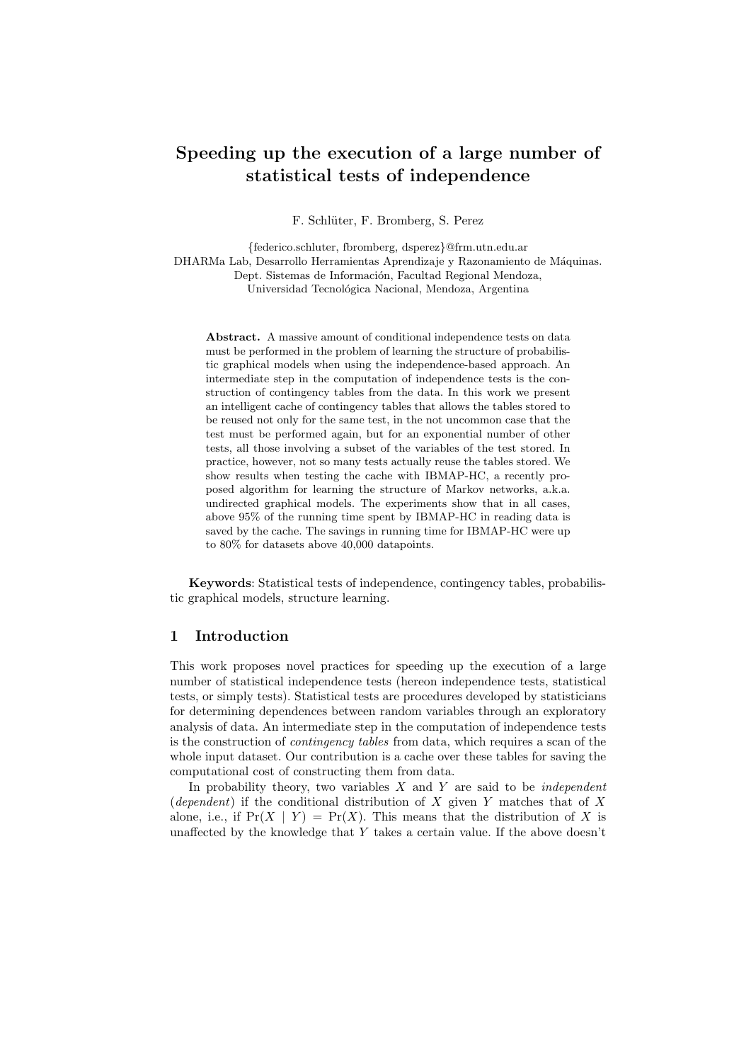# **Speeding up the execution of a large number of statistical tests of independence**

F. Schlüter, F. Bromberg, S. Perez

*{*federico.schluter, fbromberg, dsperez*}*@frm.utn.edu.ar DHARMa Lab, Desarrollo Herramientas Aprendizaje y Razonamiento de Máquinas.

Dept. Sistemas de Información, Facultad Regional Mendoza,

Universidad Tecnológica Nacional, Mendoza, Argentina

**Abstract.** A massive amount of conditional independence tests on data must be performed in the problem of learning the structure of probabilistic graphical models when using the independence-based approach. An intermediate step in the computation of independence tests is the construction of contingency tables from the data. In this work we present an intelligent cache of contingency tables that allows the tables stored to be reused not only for the same test, in the not uncommon case that the test must be performed again, but for an exponential number of other tests, all those involving a subset of the variables of the test stored. In practice, however, not so many tests actually reuse the tables stored. We show results when testing the cache with IBMAP-HC, a recently proposed algorithm for learning the structure of Markov networks, a.k.a. undirected graphical models. The experiments show that in all cases, above 95% of the running time spent by IBMAP-HC in reading data is saved by the cache. The savings in running time for IBMAP-HC were up to 80% for datasets above 40,000 datapoints.

**Keywords**: Statistical tests of independence, contingency tables, probabilistic graphical models, structure learning.

## **1 Introduction**

This work proposes novel practices for speeding up the execution of a large number of statistical independence tests (hereon independence tests, statistical tests, or simply tests). Statistical tests are procedures developed by statisticians for determining dependences between random variables through an exploratory analysis of data. An intermediate step in the computation of independence tests is the construction of *contingency tables* from data, which requires a scan of the whole input dataset. Our contribution is a cache over these tables for saving the computational cost of constructing them from data.

In probability theory, two variables *X* and *Y* are said to be *independent* (*dependent*) if the conditional distribution of *X* given *Y* matches that of *X* alone, i.e., if  $Pr(X | Y) = Pr(X)$ . This means that the distribution of X is unaffected by the knowledge that *Y* takes a certain value. If the above doesn't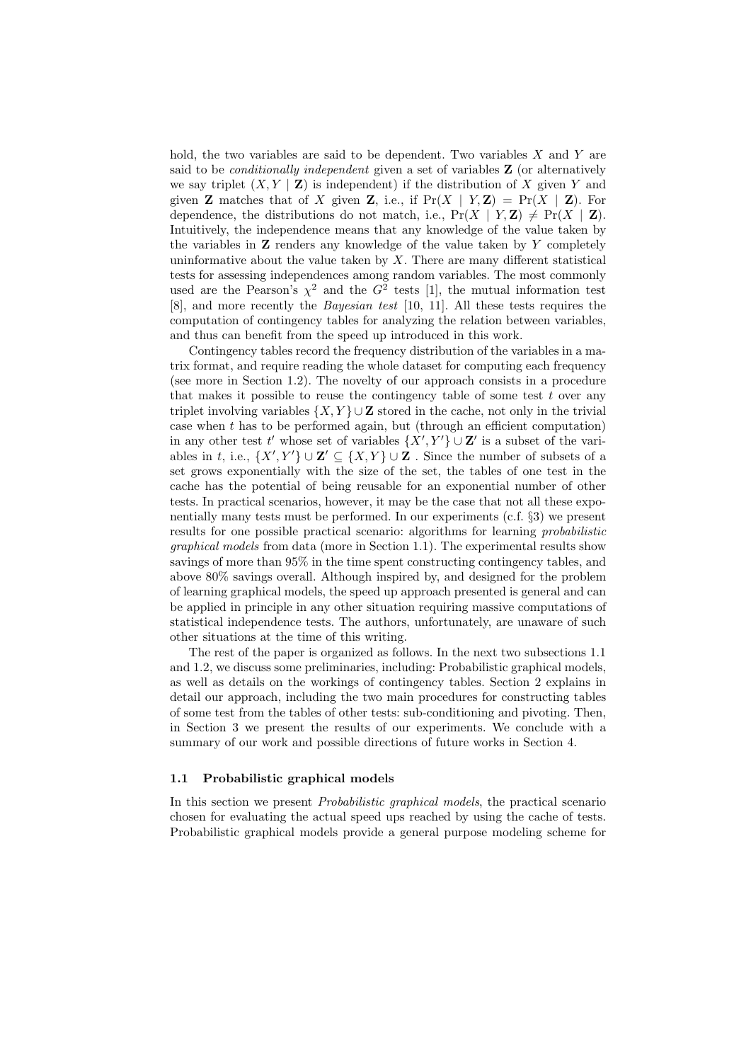hold, the two variables are said to be dependent. Two variables *X* and *Y* are said to be *conditionally independent* given a set of variables **Z** (or alternatively we say triplet  $(X, Y | \mathbf{Z})$  is independent) if the distribution of X given Y and given **Z** matches that of *X* given **Z**, i.e., if  $Pr(X | Y, \mathbf{Z}) = Pr(X | \mathbf{Z})$ . For dependence, the distributions do not match, i.e.,  $Pr(X | Y, Z) \neq Pr(X | Z)$ . Intuitively, the independence means that any knowledge of the value taken by the variables in **Z** renders any knowledge of the value taken by *Y* completely uninformative about the value taken by *X*. There are many different statistical tests for assessing independences among random variables. The most commonly used are the Pearson's  $\chi^2$  and the  $G^2$  tests [1], the mutual information test [8], and more recently the *Bayesian test* [10, 11]. All these tests requires the computation of contingency tables for analyzing the relation between variables, and thus can benefit from the speed up introduced in this work.

Contingency tables record the frequency distribution of the variables in a matrix format, and require reading the whole dataset for computing each frequency (see more in Section 1.2). The novelty of our approach consists in a procedure that makes it possible to reuse the contingency table of some test *t* over any triplet involving variables  $\{X, Y\}$  ∪ **Z** stored in the cache, not only in the trivial case when *t* has to be performed again, but (through an efficient computation) in any other test  $t'$  whose set of variables  $\{X', Y'\} \cup \mathbf{Z}'$  is a subset of the variables in *t*, i.e.,  $\{X', Y'\} \cup \mathbf{Z}' \subseteq \{X, Y\} \cup \mathbf{Z}$ . Since the number of subsets of a set grows exponentially with the size of the set, the tables of one test in the cache has the potential of being reusable for an exponential number of other tests. In practical scenarios, however, it may be the case that not all these exponentially many tests must be performed. In our experiments (c.f. *§*3) we present results for one possible practical scenario: algorithms for learning *probabilistic graphical models* from data (more in Section 1.1). The experimental results show savings of more than 95% in the time spent constructing contingency tables, and above 80% savings overall. Although inspired by, and designed for the problem of learning graphical models, the speed up approach presented is general and can be applied in principle in any other situation requiring massive computations of statistical independence tests. The authors, unfortunately, are unaware of such other situations at the time of this writing.

The rest of the paper is organized as follows. In the next two subsections 1.1 and 1.2, we discuss some preliminaries, including: Probabilistic graphical models, as well as details on the workings of contingency tables. Section 2 explains in detail our approach, including the two main procedures for constructing tables of some test from the tables of other tests: sub-conditioning and pivoting. Then, in Section 3 we present the results of our experiments. We conclude with a summary of our work and possible directions of future works in Section 4.

## **1.1 Probabilistic graphical models**

In this section we present *Probabilistic graphical models*, the practical scenario chosen for evaluating the actual speed ups reached by using the cache of tests. Probabilistic graphical models provide a general purpose modeling scheme for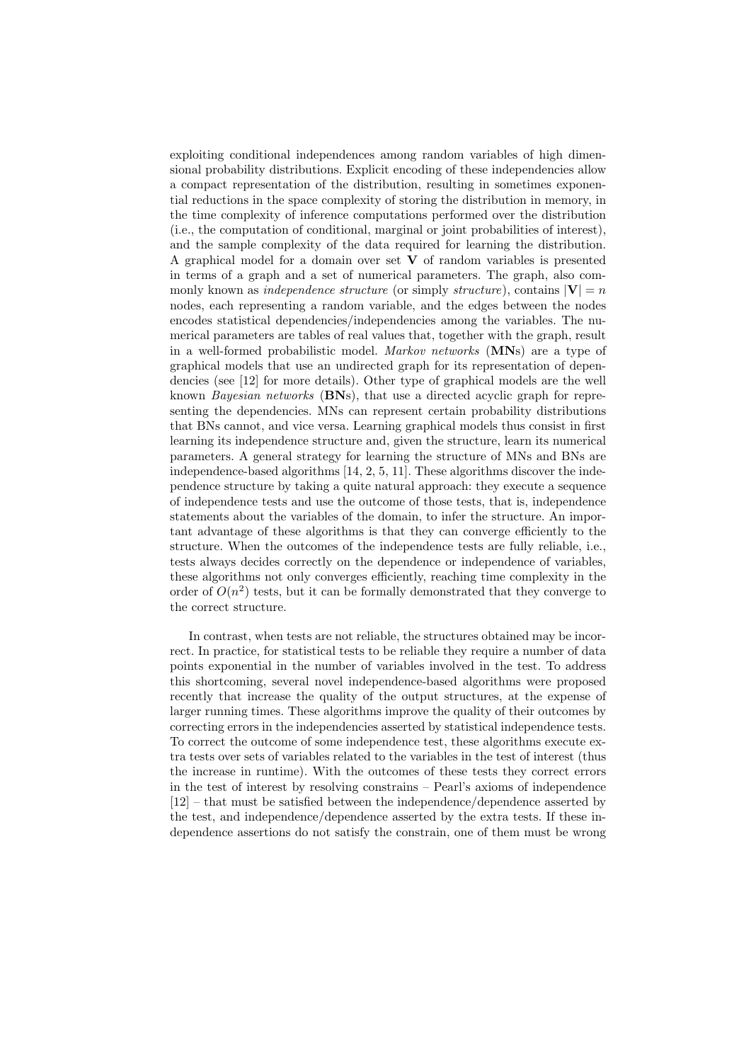exploiting conditional independences among random variables of high dimensional probability distributions. Explicit encoding of these independencies allow a compact representation of the distribution, resulting in sometimes exponential reductions in the space complexity of storing the distribution in memory, in the time complexity of inference computations performed over the distribution (i.e., the computation of conditional, marginal or joint probabilities of interest), and the sample complexity of the data required for learning the distribution. A graphical model for a domain over set **V** of random variables is presented in terms of a graph and a set of numerical parameters. The graph, also commonly known as *independence structure* (or simply *structure*), contains  $|\mathbf{V}| = n$ nodes, each representing a random variable, and the edges between the nodes encodes statistical dependencies/independencies among the variables. The numerical parameters are tables of real values that, together with the graph, result in a well-formed probabilistic model. *Markov networks* (**MN**s) are a type of graphical models that use an undirected graph for its representation of dependencies (see [12] for more details). Other type of graphical models are the well known *Bayesian networks* (**BN**s), that use a directed acyclic graph for representing the dependencies. MNs can represent certain probability distributions that BNs cannot, and vice versa. Learning graphical models thus consist in first learning its independence structure and, given the structure, learn its numerical parameters. A general strategy for learning the structure of MNs and BNs are independence-based algorithms [14, 2, 5, 11]. These algorithms discover the independence structure by taking a quite natural approach: they execute a sequence of independence tests and use the outcome of those tests, that is, independence statements about the variables of the domain, to infer the structure. An important advantage of these algorithms is that they can converge efficiently to the structure. When the outcomes of the independence tests are fully reliable, i.e., tests always decides correctly on the dependence or independence of variables, these algorithms not only converges efficiently, reaching time complexity in the order of  $O(n^2)$  tests, but it can be formally demonstrated that they converge to the correct structure.

In contrast, when tests are not reliable, the structures obtained may be incorrect. In practice, for statistical tests to be reliable they require a number of data points exponential in the number of variables involved in the test. To address this shortcoming, several novel independence-based algorithms were proposed recently that increase the quality of the output structures, at the expense of larger running times. These algorithms improve the quality of their outcomes by correcting errors in the independencies asserted by statistical independence tests. To correct the outcome of some independence test, these algorithms execute extra tests over sets of variables related to the variables in the test of interest (thus the increase in runtime). With the outcomes of these tests they correct errors in the test of interest by resolving constrains – Pearl's axioms of independence [12] – that must be satisfied between the independence/dependence asserted by the test, and independence/dependence asserted by the extra tests. If these independence assertions do not satisfy the constrain, one of them must be wrong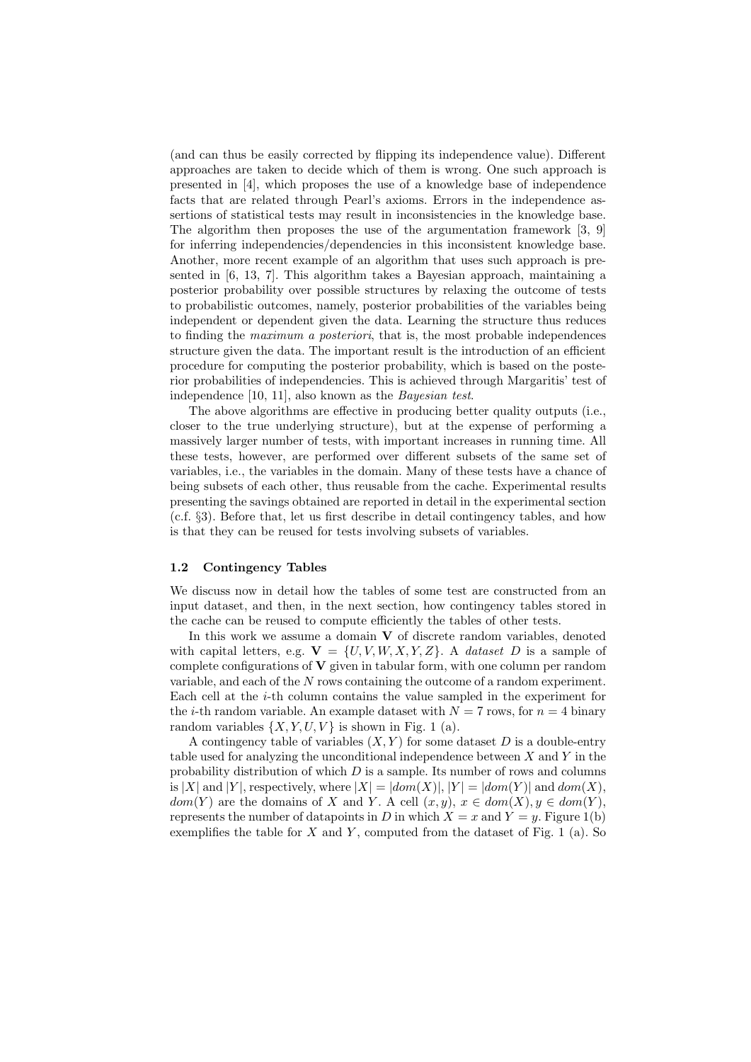(and can thus be easily corrected by flipping its independence value). Different approaches are taken to decide which of them is wrong. One such approach is presented in [4], which proposes the use of a knowledge base of independence facts that are related through Pearl's axioms. Errors in the independence assertions of statistical tests may result in inconsistencies in the knowledge base. The algorithm then proposes the use of the argumentation framework [3, 9] for inferring independencies/dependencies in this inconsistent knowledge base. Another, more recent example of an algorithm that uses such approach is presented in [6, 13, 7]. This algorithm takes a Bayesian approach, maintaining a posterior probability over possible structures by relaxing the outcome of tests to probabilistic outcomes, namely, posterior probabilities of the variables being independent or dependent given the data. Learning the structure thus reduces to finding the *maximum a posteriori*, that is, the most probable independences structure given the data. The important result is the introduction of an efficient procedure for computing the posterior probability, which is based on the posterior probabilities of independencies. This is achieved through Margaritis' test of independence [10, 11], also known as the *Bayesian test*.

The above algorithms are effective in producing better quality outputs (i.e., closer to the true underlying structure), but at the expense of performing a massively larger number of tests, with important increases in running time. All these tests, however, are performed over different subsets of the same set of variables, i.e., the variables in the domain. Many of these tests have a chance of being subsets of each other, thus reusable from the cache. Experimental results presenting the savings obtained are reported in detail in the experimental section (c.f. *§*3). Before that, let us first describe in detail contingency tables, and how is that they can be reused for tests involving subsets of variables.

#### **1.2 Contingency Tables**

We discuss now in detail how the tables of some test are constructed from an input dataset, and then, in the next section, how contingency tables stored in the cache can be reused to compute efficiently the tables of other tests.

In this work we assume a domain **V** of discrete random variables, denoted with capital letters, e.g.  $V = \{U, V, W, X, Y, Z\}$ . A *dataset D* is a sample of complete configurations of **V** given in tabular form, with one column per random variable, and each of the *N* rows containing the outcome of a random experiment. Each cell at the *i*-th column contains the value sampled in the experiment for the *i*-th random variable. An example dataset with  $N = 7$  rows, for  $n = 4$  binary random variables  $\{X, Y, U, V\}$  is shown in Fig. 1 (a).

A contingency table of variables  $(X, Y)$  for some dataset  $D$  is a double-entry table used for analyzing the unconditional independence between *X* and *Y* in the probability distribution of which *D* is a sample. Its number of rows and columns is |X| and |Y|, respectively, where  $|X| = |dom(X)|, |Y| = |dom(Y)|$  and  $dom(X)$ , *dom*(*Y*) are the domains of *X* and *Y*. A cell  $(x, y)$ ,  $x \in dom(X)$ ,  $y \in dom(Y)$ , represents the number of datapoints in *D* in which  $X = x$  and  $Y = y$ . Figure 1(b) exemplifies the table for  $X$  and  $Y$ , computed from the dataset of Fig. 1 (a). So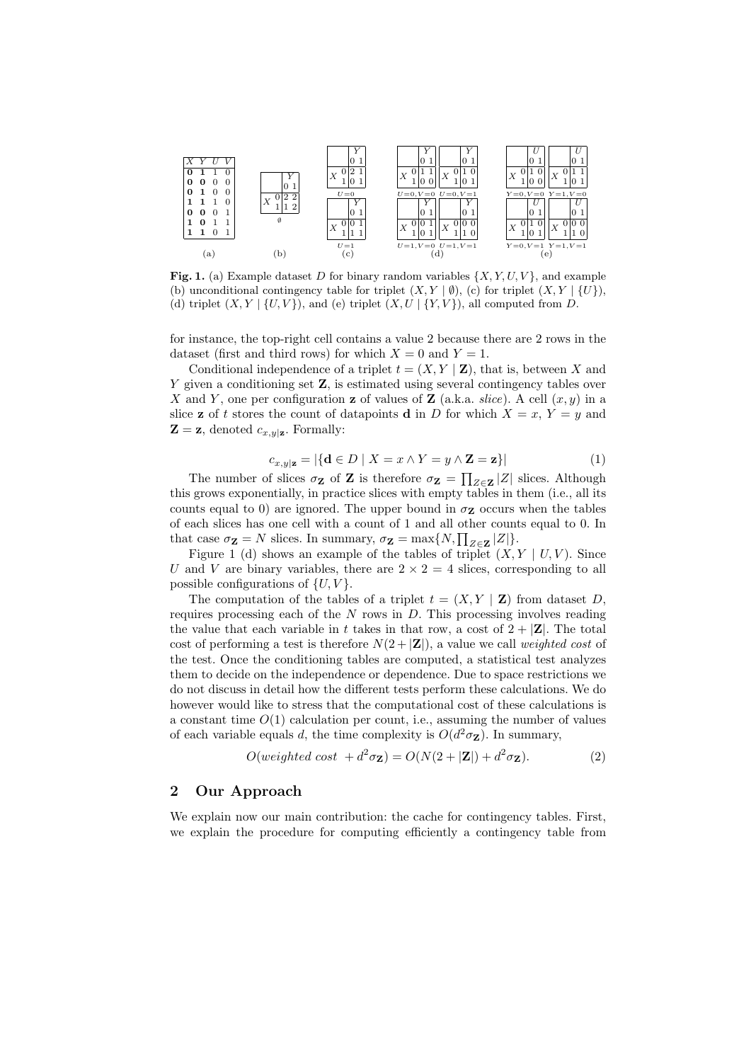

**Fig. 1.** (a) Example dataset *D* for binary random variables *{X, Y, U, V }*, and example (b) unconditional contingency table for triplet  $(X, Y | \emptyset)$ , (c) for triplet  $(X, Y | \{U\})$ , (d) triplet  $(X, Y | \{U, V\})$ , and (e) triplet  $(X, U | \{Y, V\})$ , all computed from *D*.

for instance, the top-right cell contains a value 2 because there are 2 rows in the dataset (first and third rows) for which  $X = 0$  and  $Y = 1$ .

Conditional independence of a triplet  $t = (X, Y | \mathbf{Z})$ , that is, between X and *Y* given a conditioning set **Z**, is estimated using several contingency tables over *X* and *Y*, one per configuration **z** of values of **Z** (a.k.a. *slice*). A cell  $(x, y)$  in a slice **z** of *t* stores the count of datapoints **d** in *D* for which  $X = x$ ,  $Y = y$  and  $\mathbf{Z} = \mathbf{z}$ , denoted  $c_{x,y|\mathbf{z}}$ . Formally:

$$
c_{x,y|\mathbf{z}} = |\{\mathbf{d} \in D \mid X = x \land Y = y \land \mathbf{Z} = \mathbf{z}\}| \tag{1}
$$

The number of slices  $\sigma_{\mathbf{Z}}$  of **Z** is therefore  $\sigma_{\mathbf{Z}} = \prod_{Z \in \mathbf{Z}} |Z|$  slices. Although this grows exponentially, in practice slices with empty tables in them (i.e., all its counts equal to 0) are ignored. The upper bound in  $\sigma$ **z** occurs when the tables of each slices has one cell with a count of 1 and all other counts equal to 0. In that case  $\sigma_{\mathbf{Z}} = N$  slices. In summary,  $\sigma_{\mathbf{Z}} = \max\{N, \prod_{Z \in \mathbf{Z}} |Z|\}.$ 

Figure 1 (d) shows an example of the tables of triplet  $(X, Y | U, V)$ . Since *U* and *V* are binary variables, there are  $2 \times 2 = 4$  slices, corresponding to all possible configurations of  $\{U, V\}$ .

The computation of the tables of a triplet  $t = (X, Y | \mathbf{Z})$  from dataset *D*, requires processing each of the *N* rows in *D*. This processing involves reading the value that each variable in *t* takes in that row, a cost of  $2 + |Z|$ . The total cost of performing a test is therefore  $N(2 + |{\bf Z}|)$ , a value we call *weighted cost* of the test. Once the conditioning tables are computed, a statistical test analyzes them to decide on the independence or dependence. Due to space restrictions we do not discuss in detail how the different tests perform these calculations. We do however would like to stress that the computational cost of these calculations is a constant time  $O(1)$  calculation per count, i.e., assuming the number of values of each variable equals *d*, the time complexity is  $O(d^2 \sigma_{\mathbf{Z}})$ . In summary,

$$
O(weighted \ cost + d^2 \sigma_{\mathbf{Z}}) = O(N(2 + |\mathbf{Z}|) + d^2 \sigma_{\mathbf{Z}}). \tag{2}
$$

## **2 Our Approach**

We explain now our main contribution: the cache for contingency tables. First, we explain the procedure for computing efficiently a contingency table from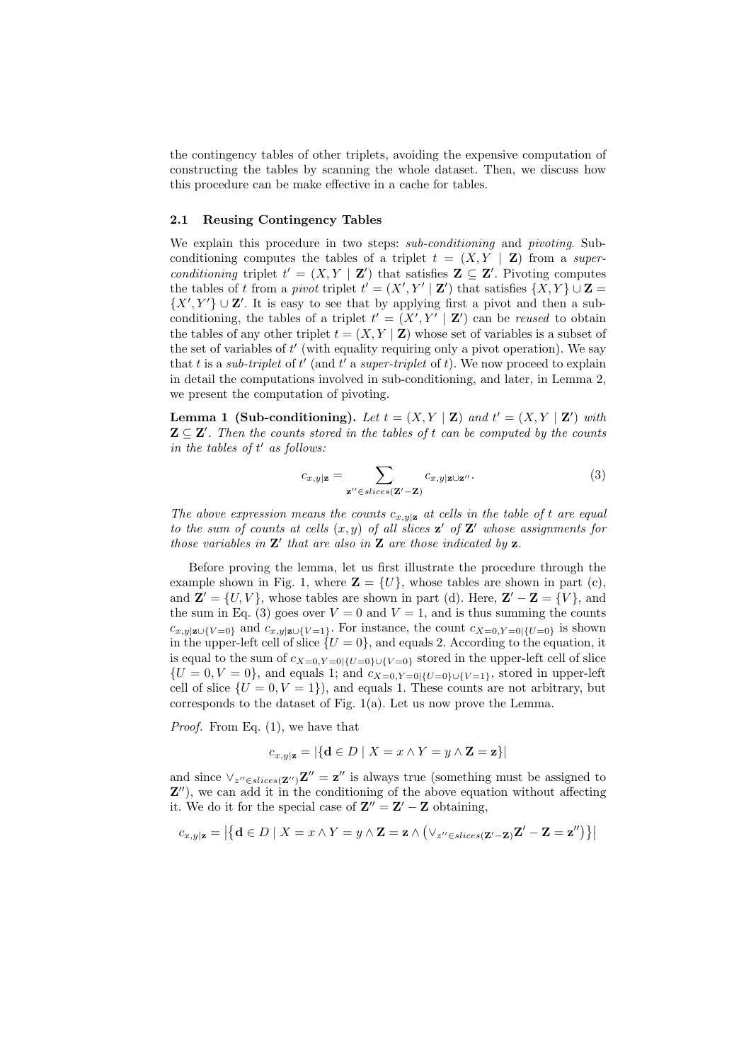the contingency tables of other triplets, avoiding the expensive computation of constructing the tables by scanning the whole dataset. Then, we discuss how this procedure can be make effective in a cache for tables.

### **2.1 Reusing Contingency Tables**

We explain this procedure in two steps: *sub-conditioning* and *pivoting*. Subconditioning computes the tables of a triplet  $t = (X, Y | \mathbf{Z})$  from a *superconditioning* triplet  $t' = (X, Y | \mathbf{Z}')$  that satisfies  $\mathbf{Z} \subseteq \mathbf{Z}'$ . Pivoting computes the tables of *t* from a *pivot* triplet  $t' = (X', Y' | \mathbf{Z}')$  that satisfies  $\{X, Y\} \cup \mathbf{Z} =$  $\{X', Y'\}$   $\cup$  **Z'**. It is easy to see that by applying first a pivot and then a subconditioning, the tables of a triplet  $t' = (X', Y' | \mathbf{Z}')$  can be *reused* to obtain the tables of any other triplet  $t = (X, Y | \mathbf{Z})$  whose set of variables is a subset of the set of variables of  $t'$  (with equality requiring only a pivot operation). We say that  $t$  is a *sub-triplet* of  $t'$  (and  $t'$  a *super-triplet* of  $t$ ). We now proceed to explain in detail the computations involved in sub-conditioning, and later, in Lemma 2, we present the computation of pivoting.

**Lemma 1 (Sub-conditioning).** Let  $t = (X, Y | \mathbf{Z})$  and  $t' = (X, Y | \mathbf{Z}^{\prime})$  with  $\mathbf{Z} \subseteq \mathbf{Z}'$ . Then the counts stored in the tables of  $t$  *can be computed by the counts*  $\int$ *in the tables of*  $t'$  *as follows:* 

$$
c_{x,y|\mathbf{z}} = \sum_{\mathbf{z}'' \in slices(\mathbf{Z}' - \mathbf{Z})} c_{x,y|\mathbf{z} \cup \mathbf{z}''}.
$$
 (3)

*The above expression means the counts*  $c_{x,y|z}$  *at cells in the table of t are equal to the sum of counts at cells*  $(x, y)$  *of all slices*  $z'$  *of*  $Z'$  *whose assignments for those variables in*  $\mathbf{Z}'$  *that are also in*  $\mathbf{Z}$  *are those indicated by*  $\mathbf{z}$ *.* 

Before proving the lemma, let us first illustrate the procedure through the example shown in Fig. 1, where  $\mathbf{Z} = \{U\}$ , whose tables are shown in part (c), and  $\mathbf{Z}' = \{U, V\}$ , whose tables are shown in part (d). Here,  $\mathbf{Z}' - \mathbf{Z} = \{V\}$ , and the sum in Eq. (3) goes over  $V = 0$  and  $V = 1$ , and is thus summing the counts *c*<sub>*x*</sub>,y<sub>*|***z***∪{V*=0} and *c*<sub>*x*</sub>,y<sub></sub><sub>|</sub>z<sub>*U*</sub>{*V*=1}. For instance, the count *c*<sub>*X*=0</sub>,*Y*=0*|{U*=0} is shown</sub> in the upper-left cell of slice  $\{U=0\}$ , and equals 2. According to the equation, it is equal to the sum of  $c_{X=0,Y=0}$ <sub>{*U*=0}∪{*V*=0}</sub> stored in the upper-left cell of slice  ${U = 0, V = 0}$ , and equals 1; and  $c_{X=0, Y=0}$ <sub>{*U*=0}*v*{*V*=1}</sub>, stored in upper-left cell of slice  $\{U = 0, V = 1\}$ , and equals 1. These counts are not arbitrary, but corresponds to the dataset of Fig.  $1(a)$ . Let us now prove the Lemma.

*Proof.* From Eq.  $(1)$ , we have that

$$
c_{x,y|\mathbf{z}} = |\{\mathbf{d} \in D \mid X = x \land Y = y \land \mathbf{Z} = \mathbf{z}\}|
$$

and since  $\vee_{z'' \in slices(\mathbf{Z}'')} \mathbf{Z}'' = \mathbf{z}''$  is always true (something must be assigned to **Z**<sup>*o*</sup>), we can add it in the conditioning of the above equation without affecting it. We do it for the special case of  $\mathbf{Z}'' = \mathbf{Z}' - \mathbf{Z}$  obtaining,

$$
c_{x,y|\mathbf{z}} = \left|\left\{\mathbf{d}\in D\mid X=x \wedge Y=y \wedge \mathbf{Z}=\mathbf{z} \wedge \left(\vee_{z^{\prime\prime}\in slices(\mathbf{Z}^{\prime}-\mathbf{Z})}\mathbf{Z}^{\prime}-\mathbf{Z}=\mathbf{z}^{\prime\prime}\right)\right\}\right|
$$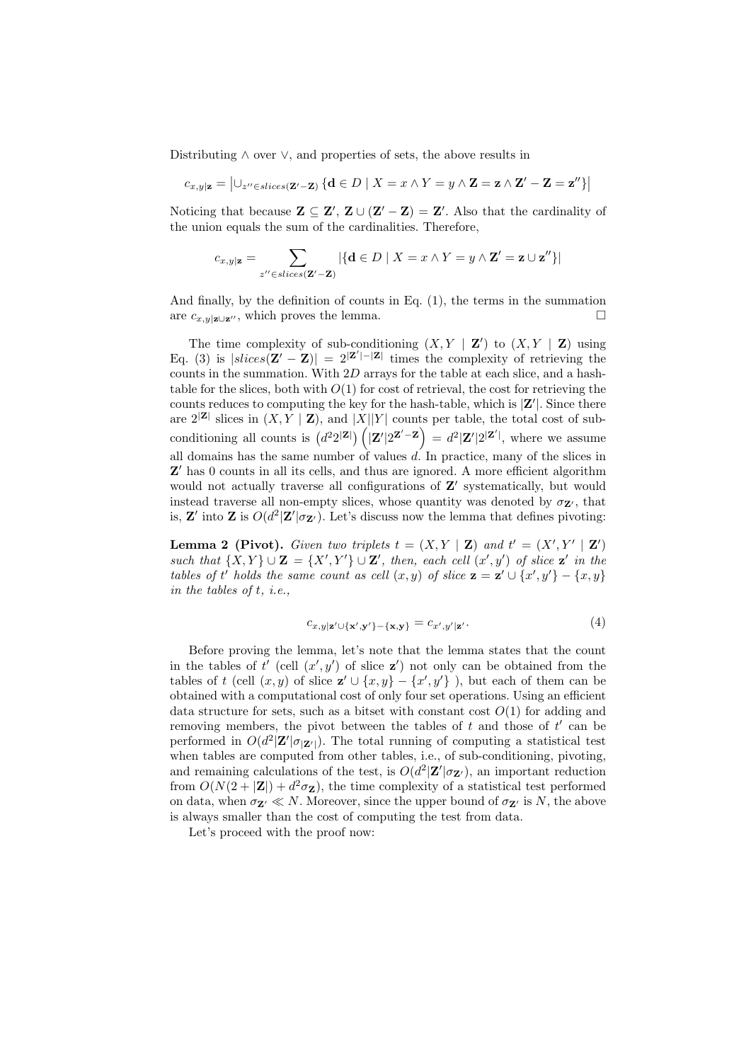Distributing *∧* over *∨*, and properties of sets, the above results in

$$
c_{x,y|\mathbf{z}} = \left|\cup_{z'' \in slices(\mathbf{Z}'-\mathbf{Z})} \left\{\mathbf{d} \in D \mid X = x \wedge Y = y \wedge \mathbf{Z} = \mathbf{z} \wedge \mathbf{Z}' - \mathbf{Z} = \mathbf{z}'' \right\}\right|
$$

Noticing that because  $\mathbf{Z} \subseteq \mathbf{Z}'$ ,  $\mathbf{Z} \cup (\mathbf{Z}' - \mathbf{Z}) = \mathbf{Z}'$ . Also that the cardinality of the union equals the sum of the cardinalities. Therefore,

$$
c_{x,y|\mathbf{z}} = \sum_{z'' \in slices(\mathbf{Z}'-\mathbf{Z})} |\{\mathbf{d} \in D \mid X = x \land Y = y \land \mathbf{Z}' = \mathbf{z} \cup \mathbf{z}''\}|
$$

And finally, by the definition of counts in Eq. (1), the terms in the summation are  $c_{x,y|z∪z''}$ , which proves the lemma.  $□$ 

The time complexity of sub-conditioning  $(X, Y | \mathbf{Z}')$  to  $(X, Y | \mathbf{Z})$  using Eq. (3) is  $|slices(\mathbf{Z}' - \mathbf{Z})| = 2^{|\mathbf{Z}'| - |\mathbf{Z}|}$  times the complexity of retrieving the counts in the summation. With 2*D* arrays for the table at each slice, and a hashtable for the slices, both with  $O(1)$  for cost of retrieval, the cost for retrieving the counts reduces to computing the key for the hash-table, which is  $|\mathbf{Z}'|$ . Since there are  $2^{|Z|}$  slices in  $(X, Y | Z)$ , and  $|X||Y|$  counts per table, the total cost of subconditioning all counts is  $(d^2 2^{|{\bf Z}|}) (\vert {\bf Z}' \vert 2^{{\bf Z}'-{\bf Z}}) = d^2 |\bf Z'| 2^{|{\bf Z}'|}$ , where we assume all domains has the same number of values *d*. In practice, many of the slices in Z' has 0 counts in all its cells, and thus are ignored. A more efficient algorithm would not actually traverse all configurations of Z' systematically, but would instead traverse all non-empty slices, whose quantity was denoted by  $\sigma_{\mathbf{Z}'}$ , that is, **Z**<sup>*'*</sup> into **Z** is  $O(d^2 | \mathbf{Z}'| \sigma_{\mathbf{Z'}})$ . Let's discuss now the lemma that defines pivoting:

**Lemma 2 (Pivot).** *Given two triplets*  $t = (X, Y | \mathbf{Z})$  *and*  $t' = (X', Y' | \mathbf{Z}')$ such that  $\{X,Y\} \cup \mathbf{Z} = \{X',Y'\} \cup \mathbf{Z}'$ , then, each cell  $(x',y')$  of slice  $\mathbf{z}'$  in the *tables of t' holds the same count as cell*  $(x, y)$  *of slice*  $\mathbf{z} = \mathbf{z}' \cup \{x', y'\} - \{x, y\}$ *in the tables of t, i.e.,*

$$
c_{x,y|\mathbf{z}' \cup \{\mathbf{x}',\mathbf{y}'\} - \{\mathbf{x},\mathbf{y}\}} = c_{x',y'|\mathbf{z}'}.\tag{4}
$$

Before proving the lemma, let's note that the lemma states that the count in the tables of  $t'$  (cell  $(x', y')$  of slice  $z'$ ) not only can be obtained from the tables of *t* (cell  $(x, y)$  of slice  $\mathbf{z}' \cup \{x, y\} - \{x', y'\}$ ), but each of them can be obtained with a computational cost of only four set operations. Using an efficient data structure for sets, such as a bitset with constant cost  $O(1)$  for adding and removing members, the pivot between the tables of  $t$  and those of  $t'$  can be performed in  $O(d^2|\mathbf{Z}'|\sigma_{|\mathbf{Z}'|})$ . The total running of computing a statistical test when tables are computed from other tables, i.e., of sub-conditioning, pivoting, and remaining calculations of the test, is  $O(d^2|\mathbf{Z}'|\sigma_{\mathbf{Z}'})$ , an important reduction from  $O(N(2 + |\mathbf{Z}|) + d^2 \sigma_{\mathbf{Z}})$ , the time complexity of a statistical test performed on data, when  $\sigma_{\mathbf{Z}'} \ll N$ . Moreover, since the upper bound of  $\sigma_{\mathbf{Z}'}$  is N, the above is always smaller than the cost of computing the test from data.

Let's proceed with the proof now: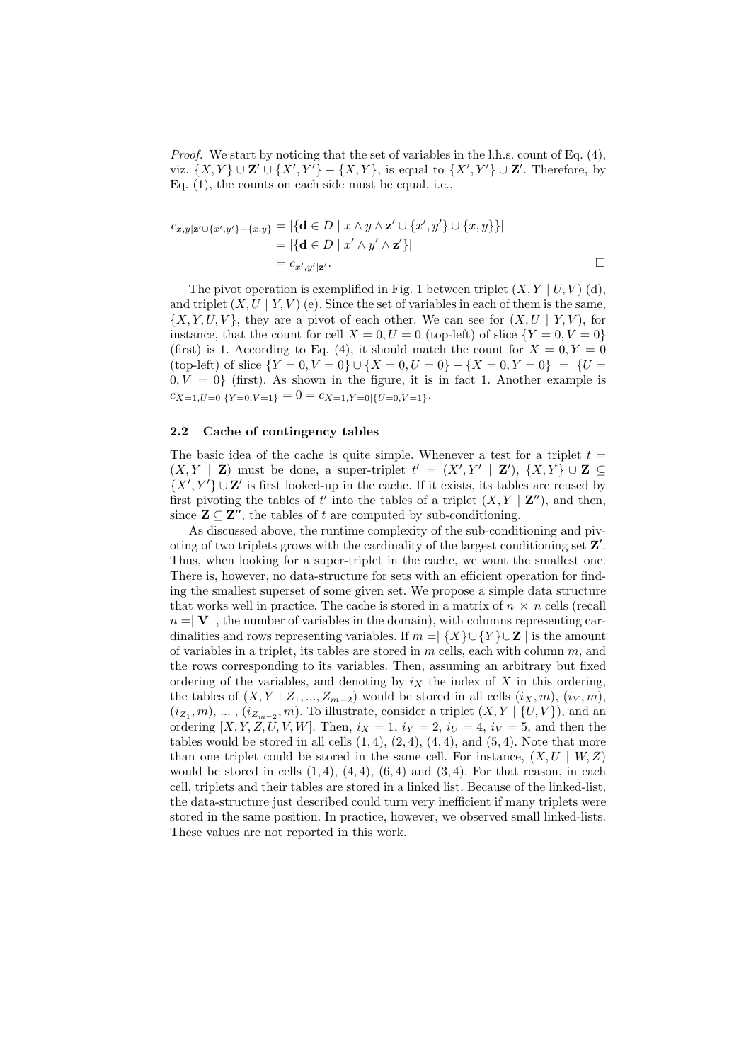*Proof.* We start by noticing that the set of variables in the l.h.s. count of Eq. (4), viz.  $\{X,Y\} \cup \mathbf{Z}' \cup \{X',Y'\} - \{X,Y\}$ , is equal to  $\{X',Y'\} \cup \mathbf{Z}'$ . Therefore, by Eq. (1), the counts on each side must be equal, i.e.,

$$
c_{x,y|\mathbf{z}'\cup\{x',y'\}-\{x,y\}} = |\{\mathbf{d}\in D \mid x\wedge y\wedge \mathbf{z}'\cup\{x',y'\}\cup\{x,y\}\}|
$$
  
= |\{\mathbf{d}\in D \mid x'\wedge y'\wedge \mathbf{z}'\}|  
= c\_{x',y'|\mathbf{z}'}.\n\Box

The pivot operation is exemplified in Fig. 1 between triplet  $(X, Y | U, V)$  (d), and triplet  $(X, U | Y, V)$  (e). Since the set of variables in each of them is the same,  ${X, Y, U, V}$ , they are a pivot of each other. We can see for  $(X, U | Y, V)$ , for instance, that the count for cell  $X = 0, U = 0$  (top-left) of slice  $\{Y = 0, V = 0\}$ (first) is 1. According to Eq. (4), it should match the count for  $X = 0, Y = 0$  $({\text{top-left}})$  of slice  ${Y = 0, V = 0}$   $\cup$   ${X = 0, U = 0} - {X = 0, Y = 0}$  =  ${U =$  $0, V = 0$ } (first). As shown in the figure, it is in fact 1. Another example is  $c_{X=1,U=0|{Y=0,V=1}} = 0 = c_{X=1,Y=0|{U=0,V=1}}$ 

#### **2.2 Cache of contingency tables**

The basic idea of the cache is quite simple. Whenever a test for a triplet  $t =$  $(X, Y | \mathbf{Z})$  must be done, a super-triplet  $t' = (X', Y' | \mathbf{Z}')$ ,  $\{X, Y\} \cup \mathbf{Z} \subseteq$  $\{X', Y'\} \cup \mathbf{Z'}$  is first looked-up in the cache. If it exists, its tables are reused by first pivoting the tables of  $t'$  into the tables of a triplet  $(X, Y | \mathbf{Z}'')$ , and then, since  $\mathbf{Z} \subseteq \mathbf{Z}''$ , the tables of *t* are computed by sub-conditioning.

As discussed above, the runtime complexity of the sub-conditioning and pivoting of two triplets grows with the cardinality of the largest conditioning set **Z'**. Thus, when looking for a super-triplet in the cache, we want the smallest one. There is, however, no data-structure for sets with an efficient operation for finding the smallest superset of some given set. We propose a simple data structure that works well in practice. The cache is stored in a matrix of  $n \times n$  cells (recall  $n = \mathbf{V}$ , the number of variables in the domain), with columns representing cardinalities and rows representing variables. If  $m = | \{X\} \cup \{Y\} \cup \mathbb{Z} |$  is the amount of variables in a triplet, its tables are stored in *m* cells, each with column *m*, and the rows corresponding to its variables. Then, assuming an arbitrary but fixed ordering of the variables, and denoting by  $i_X$  the index of  $X$  in this ordering, the tables of  $(X, Y | Z_1, \ldots, Z_{m-2})$  would be stored in all cells  $(i_X, m)$ ,  $(i_Y, m)$ ,  $(i_{Z_1}, m)$ , ...,  $(i_{Z_{m-2}}, m)$ . To illustrate, consider a triplet  $(X, Y | \{U, V\})$ , and an ordering  $[X, Y, Z, U, V, W]$ . Then,  $i_X = 1$ ,  $i_Y = 2$ ,  $i_U = 4$ ,  $i_V = 5$ , and then the tables would be stored in all cells  $(1, 4)$ ,  $(2, 4)$ ,  $(4, 4)$ , and  $(5, 4)$ . Note that more than one triplet could be stored in the same cell. For instance,  $(X, U | W, Z)$ would be stored in cells  $(1, 4)$ ,  $(4, 4)$ ,  $(6, 4)$  and  $(3, 4)$ . For that reason, in each cell, triplets and their tables are stored in a linked list. Because of the linked-list, the data-structure just described could turn very inefficient if many triplets were stored in the same position. In practice, however, we observed small linked-lists. These values are not reported in this work.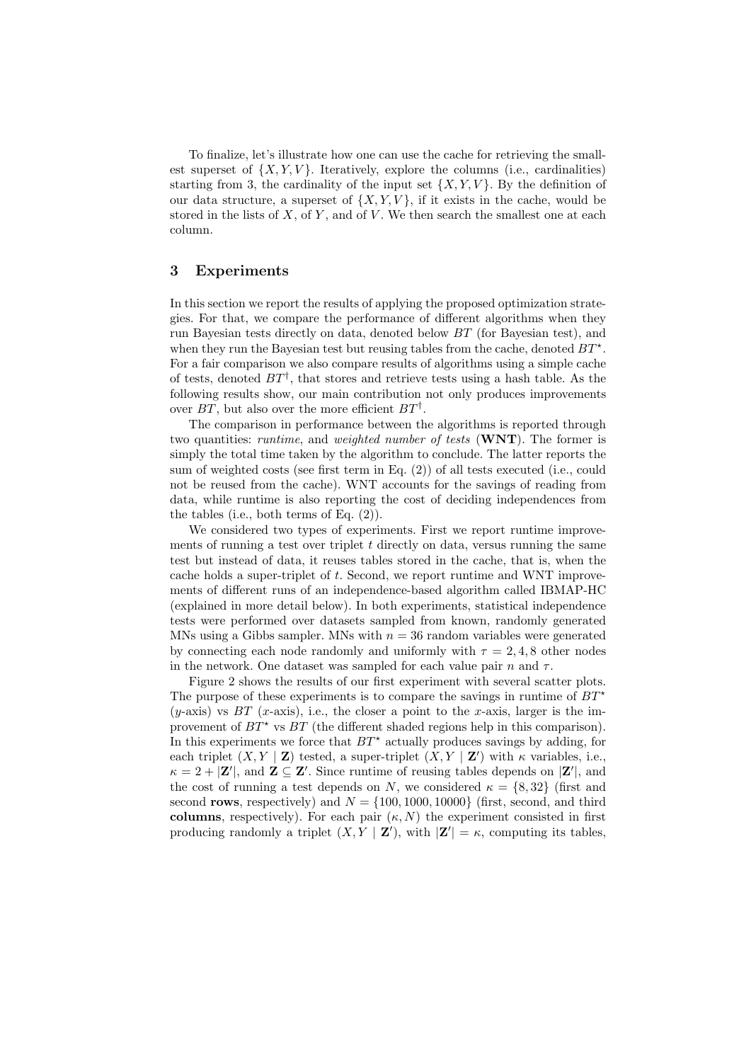To finalize, let's illustrate how one can use the cache for retrieving the smallest superset of  $\{X, Y, V\}$ . Iteratively, explore the columns (i.e., cardinalities) starting from 3, the cardinality of the input set  $\{X, Y, V\}$ . By the definition of our data structure, a superset of  $\{X, Y, V\}$ , if it exists in the cache, would be stored in the lists of *X*, of *Y* , and of *V* . We then search the smallest one at each column.

## **3 Experiments**

In this section we report the results of applying the proposed optimization strategies. For that, we compare the performance of different algorithms when they run Bayesian tests directly on data, denoted below *BT* (for Bayesian test), and when they run the Bayesian test but reusing tables from the cache, denoted  $BT^*$ . For a fair comparison we also compare results of algorithms using a simple cache of tests, denoted *BT†* , that stores and retrieve tests using a hash table. As the following results show, our main contribution not only produces improvements over *BT*, but also over the more efficient *BT†* .

The comparison in performance between the algorithms is reported through two quantities: *runtime*, and *weighted number of tests* (**WNT**). The former is simply the total time taken by the algorithm to conclude. The latter reports the sum of weighted costs (see first term in Eq. (2)) of all tests executed (i.e., could not be reused from the cache). WNT accounts for the savings of reading from data, while runtime is also reporting the cost of deciding independences from the tables (i.e., both terms of Eq. (2)).

We considered two types of experiments. First we report runtime improvements of running a test over triplet *t* directly on data, versus running the same test but instead of data, it reuses tables stored in the cache, that is, when the cache holds a super-triplet of *t*. Second, we report runtime and WNT improvements of different runs of an independence-based algorithm called IBMAP-HC (explained in more detail below). In both experiments, statistical independence tests were performed over datasets sampled from known, randomly generated MNs using a Gibbs sampler. MNs with  $n = 36$  random variables were generated by connecting each node randomly and uniformly with  $\tau = 2, 4, 8$  other nodes in the network. One dataset was sampled for each value pair  $n$  and  $\tau$ .

Figure 2 shows the results of our first experiment with several scatter plots. The purpose of these experiments is to compare the savings in runtime of  $BT^*$  $(y$ -axis) vs  $BT$  (*x*-axis), i.e., the closer a point to the *x*-axis, larger is the improvement of  $BT^*$  vs  $BT$  (the different shaded regions help in this comparison). In this experiments we force that  $BT^*$  actually produces savings by adding, for each triplet  $(X, Y | \mathbf{Z})$  tested, a super-triplet  $(X, Y | \mathbf{Z}')$  with  $\kappa$  variables, i.e.,  $\kappa = 2 + |\mathbf{Z}'|$ , and  $\mathbf{Z} \subseteq \mathbf{Z}'$ . Since runtime of reusing tables depends on  $|\mathbf{Z}'|$ , and the cost of running a test depends on *N*, we considered  $\kappa = \{8, 32\}$  (first and second **rows**, respectively) and  $N = \{100, 1000, 10000\}$  (first, second, and third **columns**, respectively). For each pair  $(\kappa, N)$  the experiment consisted in first producing randomly a triplet  $(X, Y | \mathbf{Z}')$ , with  $|\mathbf{Z}'| = \kappa$ , computing its tables,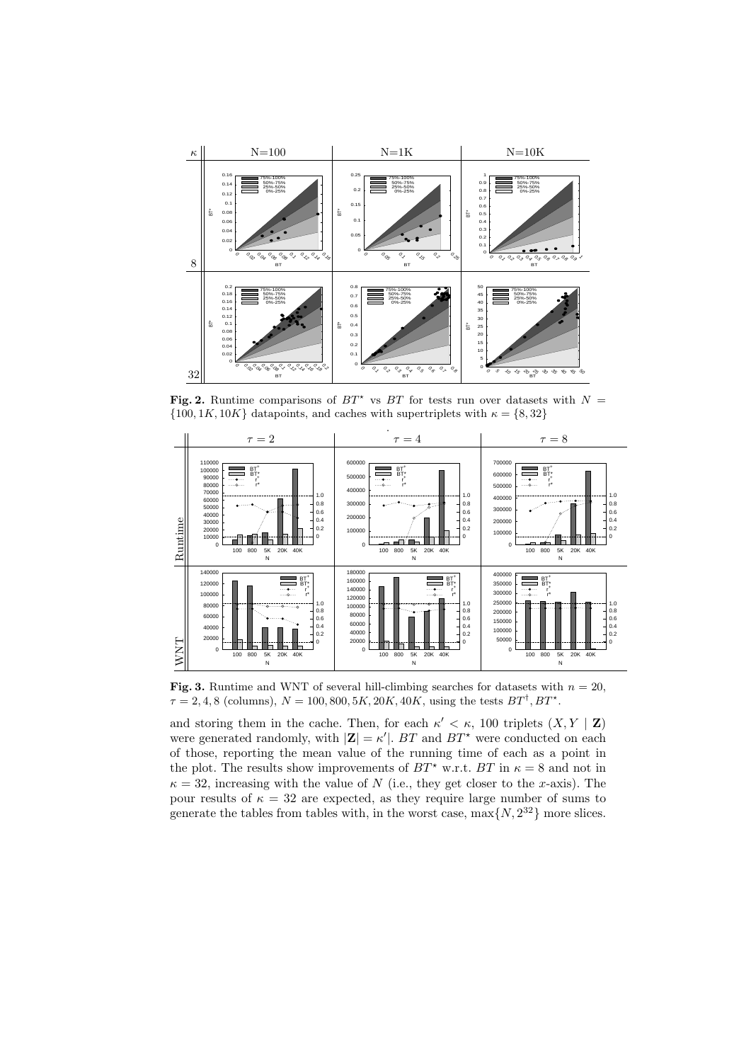

**Fig. 2.** Runtime comparisons of  $BT^*$  vs  $BT$  for tests run over datasets with  $N =$  $\{100, 1K, 10K\}$  datapoints, and caches with supertriplets with  $\kappa = \{8, 32\}$ 



**Fig. 3.** Runtime and WNT of several hill-climbing searches for datasets with  $n = 20$ .  $\tau = 2, 4, 8$  (columns),  $N = 100, 800, 5K, 20K, 40K$ , using the tests  $BT^{\dagger}$ ,  $BT^{\dagger}$ .

and storing them in the cache. Then, for each  $\kappa' < \kappa$ , 100 triplets  $(X, Y | \mathbf{Z})$ were generated randomly, with  $|\mathbf{Z}| = \kappa'$ . *BT* and *BT*<sup>\*</sup> were conducted on each of those, reporting the mean value of the running time of each as a point in the plot. The results show improvements of  $BT^*$  w.r.t.  $BT$  in  $\kappa = 8$  and not in  $\kappa = 32$ , increasing with the value of *N* (i.e., they get closer to the *x*-axis). The pour results of  $\kappa = 32$  are expected, as they require large number of sums to generate the tables from tables with, in the worst case,  $\max\{N, 2^{32}\}\$  more slices.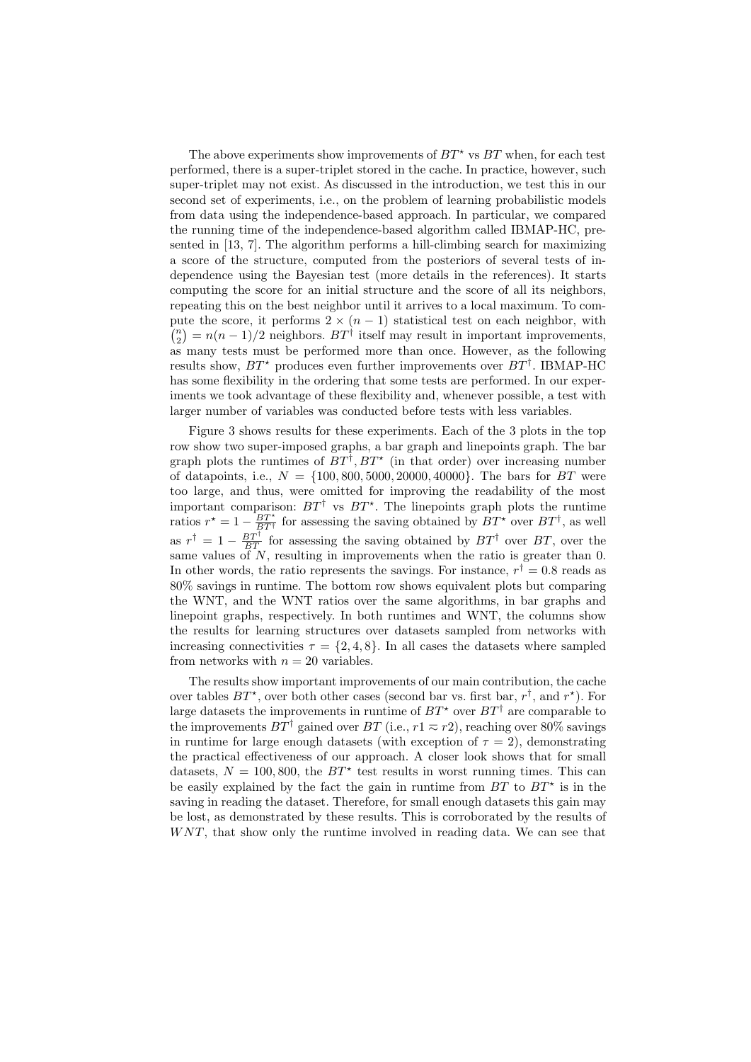The above experiments show improvements of  $BT^*$  vs  $BT$  when, for each test performed, there is a super-triplet stored in the cache. In practice, however, such super-triplet may not exist. As discussed in the introduction, we test this in our second set of experiments, i.e., on the problem of learning probabilistic models from data using the independence-based approach. In particular, we compared the running time of the independence-based algorithm called IBMAP-HC, presented in [13, 7]. The algorithm performs a hill-climbing search for maximizing a score of the structure, computed from the posteriors of several tests of independence using the Bayesian test (more details in the references). It starts computing the score for an initial structure and the score of all its neighbors, repeating this on the best neighbor until it arrives to a local maximum. To compute the score, it performs  $2 \times (n-1)$  statistical test on each neighbor, with  ${n \choose 2} = n(n-1)/2$  neighbors. *BT*<sup>†</sup> itself may result in important improvements, as many tests must be performed more than once. However, as the following results show,  $BT^*$  produces even further improvements over  $BT^{\dagger}$ . IBMAP-HC has some flexibility in the ordering that some tests are performed. In our experiments we took advantage of these flexibility and, whenever possible, a test with larger number of variables was conducted before tests with less variables.

Figure 3 shows results for these experiments. Each of the 3 plots in the top row show two super-imposed graphs, a bar graph and linepoints graph. The bar graph plots the runtimes of  $BT^{\dagger}$ ,  $BT^{\star}$  (in that order) over increasing number of datapoints, i.e., *N* = *{*100*,* 800*,* 5000*,* 20000*,* 40000*}*. The bars for *BT* were too large, and thus, were omitted for improving the readability of the most important comparison:  $BT^{\dagger}$  vs  $BT^{\dagger}$ . The linepoints graph plots the runtime ratios  $r^* = 1 - \frac{BT^*}{BT^*}$  for assessing the saving obtained by  $BT^*$  over  $BT^{\dagger}$ , as well as  $r^{\dagger} = 1 - \frac{BT^{\dagger}}{BT}$  for assessing the saving obtained by  $BT^{\dagger}$  over *BT*, over the same values of *N*, resulting in improvements when the ratio is greater than 0. In other words, the ratio represents the savings. For instance,  $r^{\dagger} = 0.8$  reads as 80% savings in runtime. The bottom row shows equivalent plots but comparing the WNT, and the WNT ratios over the same algorithms, in bar graphs and linepoint graphs, respectively. In both runtimes and WNT, the columns show the results for learning structures over datasets sampled from networks with increasing connectivities  $\tau = \{2, 4, 8\}$ . In all cases the datasets where sampled from networks with  $n = 20$  variables.

The results show important improvements of our main contribution, the cache over tables  $BT^*$ , over both other cases (second bar vs. first bar,  $r^{\dagger}$ , and  $r^*$ ). For large datasets the improvements in runtime of  $BT^*$  over  $BT^{\dagger}$  are comparable to the improvements  $BT^{\dagger}$  gained over  $BT$  (i.e.,  $r1 \approx r2$ ), reaching over 80% savings in runtime for large enough datasets (with exception of  $\tau = 2$ ), demonstrating the practical effectiveness of our approach. A closer look shows that for small datasets,  $N = 100, 800$ , the  $BT^*$  test results in worst running times. This can be easily explained by the fact the gain in runtime from  $BT$  to  $BT^*$  is in the saving in reading the dataset. Therefore, for small enough datasets this gain may be lost, as demonstrated by these results. This is corroborated by the results of *W NT*, that show only the runtime involved in reading data. We can see that